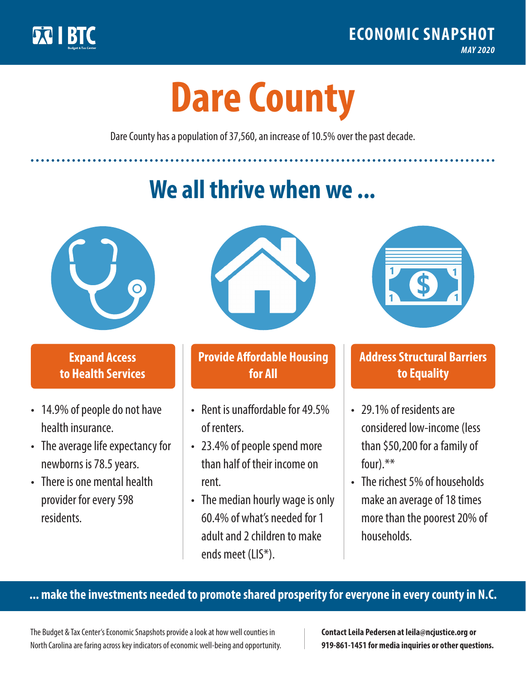

**1**

# **Dare County**

Dare County has a population of 37,560, an increase of 10.5% over the past decade.

# **We all thrive when we ...**



**\$ <sup>1</sup>**

**\$ <sup>1</sup>**

## **Expand Access to Health Services**

- 14.9% of people do not have health insurance.
- The average life expectancy for newborns is 78.5 years.
- There is one mental health provider for every 598 residents.



## **Provide Affordable Housing for All**

- Rent is unaffordable for 49 5% of renters.
- 23.4% of people spend more than half of their income on rent.
- The median hourly wage is only 60.4% of what's needed for 1 adult and 2 children to make ends meet (LIS\*).



## **Address Structural Barriers to Equality**

- 29.1% of residents are considered low-income (less than \$50,200 for a family of four).\*\*
- The richest 5% of households make an average of 18 times more than the poorest 20% of households.

#### **... make the investments needed to promote shared prosperity for everyone in every county in N.C.**

The Budget & Tax Center's Economic Snapshots provide a look at how well counties in North Carolina are faring across key indicators of economic well-being and opportunity.